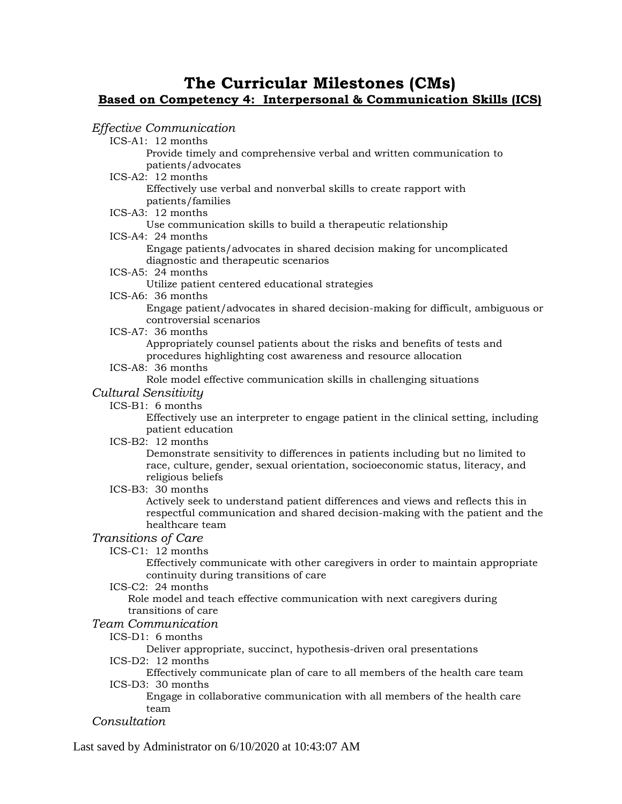# **The Curricular Milestones (CMs) Based on Competency 4: Interpersonal & Communication Skills (ICS)**

## *Effective Communication*

ICS-A1: 12 months Provide timely and comprehensive verbal and written communication to patients/advocates

ICS-A2: 12 months

Effectively use verbal and nonverbal skills to create rapport with patients/families

#### ICS-A3: 12 months

Use communication skills to build a therapeutic relationship

#### ICS-A4: 24 months

Engage patients/advocates in shared decision making for uncomplicated diagnostic and therapeutic scenarios

ICS-A5: 24 months

Utilize patient centered educational strategies

ICS-A6: 36 months

Engage patient/advocates in shared decision-making for difficult, ambiguous or controversial scenarios

ICS-A7: 36 months

Appropriately counsel patients about the risks and benefits of tests and procedures highlighting cost awareness and resource allocation

ICS-A8: 36 months

Role model effective communication skills in challenging situations

#### *Cultural Sensitivity*

ICS-B1: 6 months

Effectively use an interpreter to engage patient in the clinical setting, including patient education

ICS-B2: 12 months

Demonstrate sensitivity to differences in patients including but no limited to race, culture, gender, sexual orientation, socioeconomic status, literacy, and religious beliefs

#### ICS-B3: 30 months

Actively seek to understand patient differences and views and reflects this in respectful communication and shared decision-making with the patient and the healthcare team

#### *Transitions of Care*

ICS-C1: 12 months

Effectively communicate with other caregivers in order to maintain appropriate continuity during transitions of care

ICS-C2: 24 months

Role model and teach effective communication with next caregivers during transitions of care

## *Team Communication*

ICS-D1: 6 months

Deliver appropriate, succinct, hypothesis-driven oral presentations

ICS-D2: 12 months

Effectively communicate plan of care to all members of the health care team ICS-D3: 30 months

Engage in collaborative communication with all members of the health care team

#### *Consultation*

Last saved by Administrator on 6/10/2020 at 10:43:07 AM